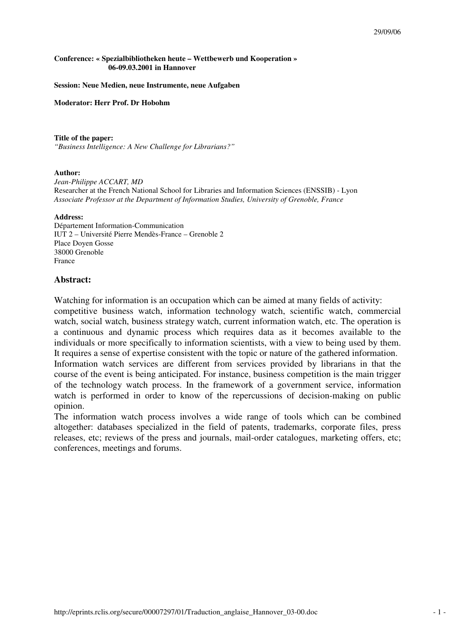#### **Conference: « Spezialbibliotheken heute – Wettbewerb und Kooperation » 06-09.03.2001 in Hannover**

#### **Session: Neue Medien, neue Instrumente, neue Aufgaben**

**Moderator: Herr Prof. Dr Hobohm** 

#### **Title of the paper:**

*"Business Intelligence: A New Challenge for Librarians?"* 

#### **Author:**

*Jean-Philippe ACCART, MD*  Researcher at the French National School for Libraries and Information Sciences (ENSSIB) - Lyon *Associate Professor at the Department of Information Studies, University of Grenoble, France* 

#### **Address:**

Département Information-Communication IUT 2 – Université Pierre Mendès-France – Grenoble 2 Place Doyen Gosse 38000 Grenoble France

### **Abstract:**

Watching for information is an occupation which can be aimed at many fields of activity: competitive business watch, information technology watch, scientific watch, commercial watch, social watch, business strategy watch, current information watch, etc. The operation is a continuous and dynamic process which requires data as it becomes available to the individuals or more specifically to information scientists, with a view to being used by them. It requires a sense of expertise consistent with the topic or nature of the gathered information. Information watch services are different from services provided by librarians in that the course of the event is being anticipated. For instance, business competition is the main trigger of the technology watch process. In the framework of a government service, information watch is performed in order to know of the repercussions of decision-making on public opinion.

The information watch process involves a wide range of tools which can be combined altogether: databases specialized in the field of patents, trademarks, corporate files, press releases, etc; reviews of the press and journals, mail-order catalogues, marketing offers, etc; conferences, meetings and forums.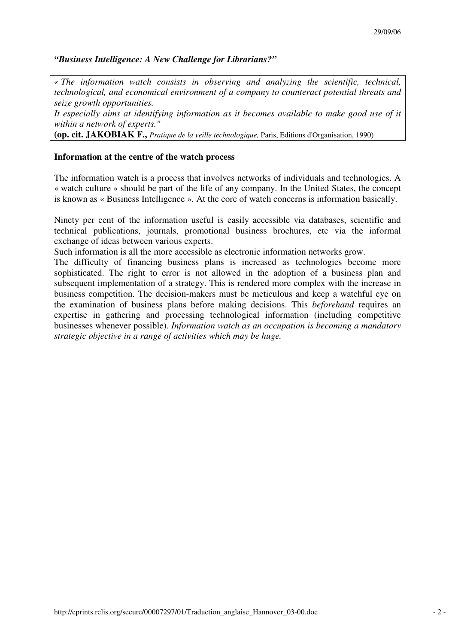# *"Business Intelligence: A New Challenge for Librarians?"*

*« The information watch consists in observing and analyzing the scientific, technical, technological, and economical environment of a company to counteract potential threats and seize growth opportunities.* 

*It especially aims at identifying information as it becomes available to make good use of it within a network of experts."* 

**(op. cit. JAKOBIAK F.,** *Pratique de la veille technologique,* Paris, Editions d'Organisation, 1990)

## **Information at the centre of the watch process**

The information watch is a process that involves networks of individuals and technologies. A « watch culture » should be part of the life of any company. In the United States, the concept is known as « Business Intelligence ». At the core of watch concerns is information basically.

Ninety per cent of the information useful is easily accessible via databases, scientific and technical publications, journals, promotional business brochures, etc via the informal exchange of ideas between various experts.

Such information is all the more accessible as electronic information networks grow.

The difficulty of financing business plans is increased as technologies become more sophisticated. The right to error is not allowed in the adoption of a business plan and subsequent implementation of a strategy. This is rendered more complex with the increase in business competition. The decision-makers must be meticulous and keep a watchful eye on the examination of business plans before making decisions. This *beforehand* requires an expertise in gathering and processing technological information (including competitive businesses whenever possible). *Information watch as an occupation is becoming a mandatory strategic objective in a range of activities which may be huge.*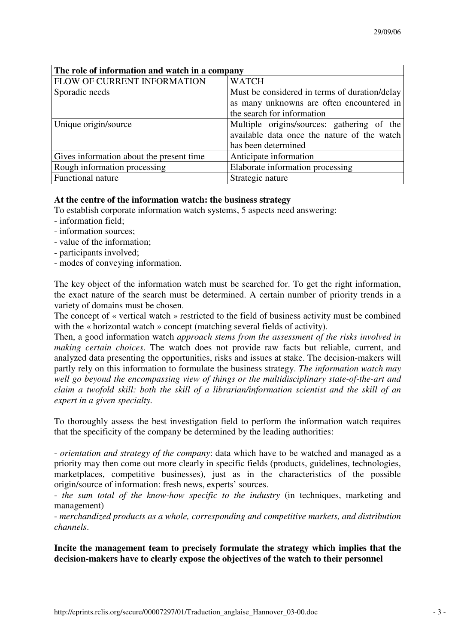| The role of information and watch in a company |                                               |
|------------------------------------------------|-----------------------------------------------|
| FLOW OF CURRENT INFORMATION                    | <b>WATCH</b>                                  |
| Sporadic needs                                 | Must be considered in terms of duration/delay |
|                                                | as many unknowns are often encountered in     |
|                                                | the search for information                    |
| Unique origin/source                           | Multiple origins/sources: gathering of the    |
|                                                | available data once the nature of the watch   |
|                                                | has been determined                           |
| Gives information about the present time       | Anticipate information                        |
| Rough information processing                   | Elaborate information processing              |
| Functional nature                              | Strategic nature                              |

# **At the centre of the information watch: the business strategy**

To establish corporate information watch systems, 5 aspects need answering:

- information field;
- information sources;
- value of the information;
- participants involved;
- modes of conveying information.

The key object of the information watch must be searched for. To get the right information, the exact nature of the search must be determined. A certain number of priority trends in a variety of domains must be chosen.

The concept of « vertical watch » restricted to the field of business activity must be combined with the « horizontal watch » concept (matching several fields of activity).

Then, a good information watch *approach stems from the assessment of the risks involved in making certain choices*. The watch does not provide raw facts but reliable, current, and analyzed data presenting the opportunities, risks and issues at stake. The decision-makers will partly rely on this information to formulate the business strategy. *The information watch may well go beyond the encompassing view of things or the multidisciplinary state-of-the-art and claim a twofold skill: both the skill of a librarian/information scientist and the skill of an expert in a given specialty.* 

To thoroughly assess the best investigation field to perform the information watch requires that the specificity of the company be determined by the leading authorities:

- *orientation and strategy of the company*: data which have to be watched and managed as a priority may then come out more clearly in specific fields (products, guidelines, technologies, marketplaces, competitive businesses), just as in the characteristics of the possible origin/source of information: fresh news, experts' sources.

- *the sum total of the know-how specific to the industry* (in techniques, marketing and management)

- *merchandized products as a whole, corresponding and competitive markets, and distribution channels*.

**Incite the management team to precisely formulate the strategy which implies that the decision-makers have to clearly expose the objectives of the watch to their personnel**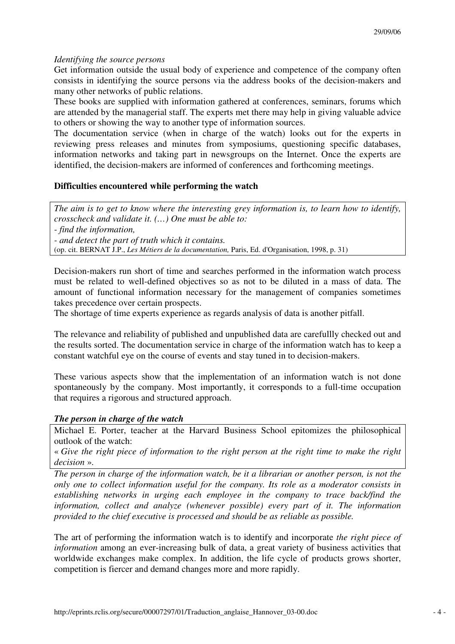# *Identifying the source persons*

Get information outside the usual body of experience and competence of the company often consists in identifying the source persons via the address books of the decision-makers and many other networks of public relations.

These books are supplied with information gathered at conferences, seminars, forums which are attended by the managerial staff. The experts met there may help in giving valuable advice to others or showing the way to another type of information sources.

The documentation service (when in charge of the watch) looks out for the experts in reviewing press releases and minutes from symposiums, questioning specific databases, information networks and taking part in newsgroups on the Internet. Once the experts are identified, the decision-makers are informed of conferences and forthcoming meetings.

# **Difficulties encountered while performing the watch**

*The aim is to get to know where the interesting grey information is, to learn how to identify, crosscheck and validate it. (…) One must be able to: - find the information, - and detect the part of truth which it contains.*  (op. cit. BERNAT J.P., *Les Métiers de la documentation,* Paris, Ed. d'Organisation, 1998, p. 31)

Decision-makers run short of time and searches performed in the information watch process must be related to well-defined objectives so as not to be diluted in a mass of data. The amount of functional information necessary for the management of companies sometimes takes precedence over certain prospects.

The shortage of time experts experience as regards analysis of data is another pitfall.

The relevance and reliability of published and unpublished data are carefullly checked out and the results sorted. The documentation service in charge of the information watch has to keep a constant watchful eye on the course of events and stay tuned in to decision-makers.

These various aspects show that the implementation of an information watch is not done spontaneously by the company. Most importantly, it corresponds to a full-time occupation that requires a rigorous and structured approach.

# *The person in charge of the watch*

Michael E. Porter, teacher at the Harvard Business School epitomizes the philosophical outlook of the watch:

« *Give the right piece of information to the right person at the right time to make the right decision* ».

*The person in charge of the information watch, be it a librarian or another person, is not the only one to collect information useful for the company. Its role as a moderator consists in establishing networks in urging each employee in the company to trace back/find the information, collect and analyze (whenever possible) every part of it. The information provided to the chief executive is processed and should be as reliable as possible.* 

The art of performing the information watch is to identify and incorporate *the right piece of information* among an ever-increasing bulk of data, a great variety of business activities that worldwide exchanges make complex. In addition, the life cycle of products grows shorter, competition is fiercer and demand changes more and more rapidly.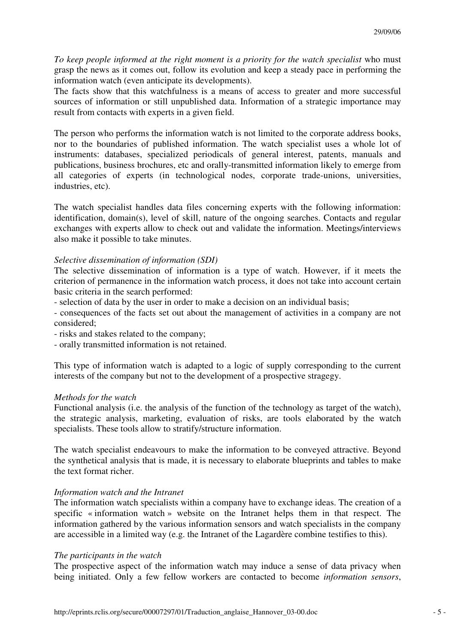*To keep people informed at the right moment is a priority for the watch specialist* who must grasp the news as it comes out, follow its evolution and keep a steady pace in performing the information watch (even anticipate its developments).

The facts show that this watchfulness is a means of access to greater and more successful sources of information or still unpublished data. Information of a strategic importance may result from contacts with experts in a given field.

The person who performs the information watch is not limited to the corporate address books, nor to the boundaries of published information. The watch specialist uses a whole lot of instruments: databases, specialized periodicals of general interest, patents, manuals and publications, business brochures, etc and orally-transmitted information likely to emerge from all categories of experts (in technological nodes, corporate trade-unions, universities, industries, etc).

The watch specialist handles data files concerning experts with the following information: identification, domain(s), level of skill, nature of the ongoing searches. Contacts and regular exchanges with experts allow to check out and validate the information. Meetings/interviews also make it possible to take minutes.

## *Selective dissemination of information (SDI)*

The selective dissemination of information is a type of watch. However, if it meets the criterion of permanence in the information watch process, it does not take into account certain basic criteria in the search performed:

- selection of data by the user in order to make a decision on an individual basis;

- consequences of the facts set out about the management of activities in a company are not considered;

- risks and stakes related to the company;

- orally transmitted information is not retained.

This type of information watch is adapted to a logic of supply corresponding to the current interests of the company but not to the development of a prospective stragegy.

### *Methods for the watch*

Functional analysis (i.e. the analysis of the function of the technology as target of the watch), the strategic analysis, marketing, evaluation of risks, are tools elaborated by the watch specialists. These tools allow to stratify/structure information.

The watch specialist endeavours to make the information to be conveyed attractive. Beyond the synthetical analysis that is made, it is necessary to elaborate blueprints and tables to make the text format richer.

## *Information watch and the Intranet*

The information watch specialists within a company have to exchange ideas. The creation of a specific « information watch » website on the Intranet helps them in that respect. The information gathered by the various information sensors and watch specialists in the company are accessible in a limited way (e.g. the Intranet of the Lagardère combine testifies to this).

### *The participants in the watch*

The prospective aspect of the information watch may induce a sense of data privacy when being initiated. Only a few fellow workers are contacted to become *information sensors*,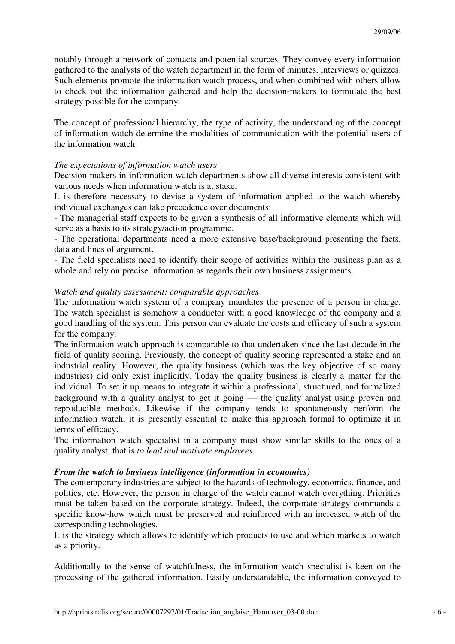notably through a network of contacts and potential sources. They convey every information gathered to the analysts of the watch department in the form of minutes, interviews or quizzes. Such elements promote the information watch process, and when combined with others allow to check out the information gathered and help the decision-makers to formulate the best strategy possible for the company.

The concept of professional hierarchy, the type of activity, the understanding of the concept of information watch determine the modalities of communication with the potential users of the information watch.

## *The expectations of information watch users*

Decision-makers in information watch departments show all diverse interests consistent with various needs when information watch is at stake.

It is therefore necessary to devise a system of information applied to the watch whereby individual exchanges can take precedence over documents:

- The managerial staff expects to be given a synthesis of all informative elements which will serve as a basis to its strategy/action programme.

- The operational departments need a more extensive base/background presenting the facts, data and lines of argument.

- The field specialists need to identify their scope of activities within the business plan as a whole and rely on precise information as regards their own business assignments.

## *Watch and quality assessment: comparable approaches*

The information watch system of a company mandates the presence of a person in charge. The watch specialist is somehow a conductor with a good knowledge of the company and a good handling of the system. This person can evaluate the costs and efficacy of such a system for the company.

The information watch approach is comparable to that undertaken since the last decade in the field of quality scoring. Previously, the concept of quality scoring represented a stake and an industrial reality. However, the quality business (which was the key objective of so many industries) did only exist implicitly. Today the quality business is clearly a matter for the individual. To set it up means to integrate it within a professional, structured, and formalized background with a quality analyst to get it going — the quality analyst using proven and reproducible methods. Likewise if the company tends to spontaneously perform the information watch, it is presently essential to make this approach formal to optimize it in terms of efficacy.

The information watch specialist in a company must show similar skills to the ones of a quality analyst, that is *to lead and motivate employees*.

## *From the watch to business intelligence (information in economics)*

The contemporary industries are subject to the hazards of technology, economics, finance, and politics, etc. However, the person in charge of the watch cannot watch everything. Priorities must be taken based on the corporate strategy. Indeed, the corporate strategy commands a specific know-how which must be preserved and reinforced with an increased watch of the corresponding technologies.

It is the strategy which allows to identify which products to use and which markets to watch as a priority.

Additionally to the sense of watchfulness, the information watch specialist is keen on the processing of the gathered information. Easily understandable, the information conveyed to